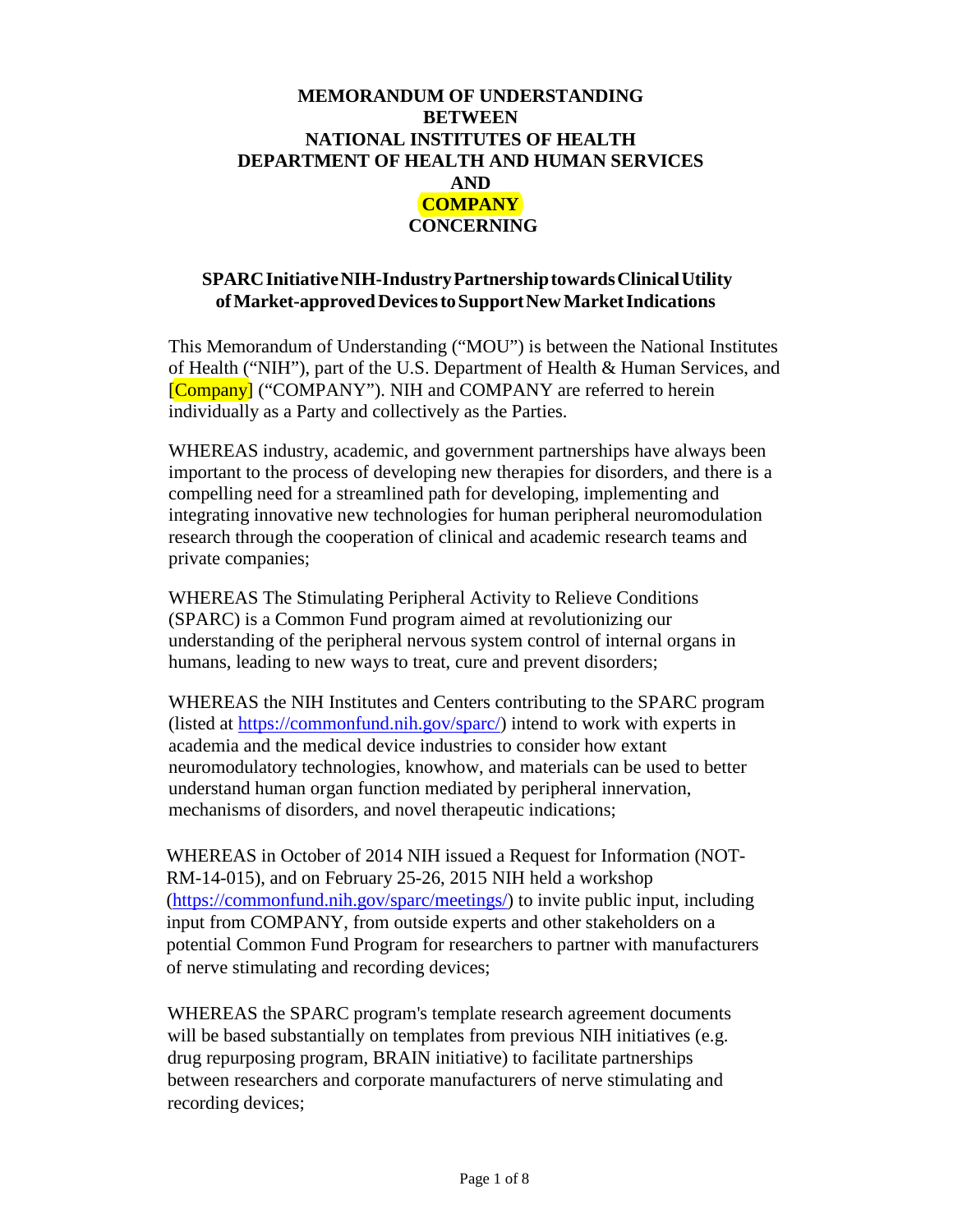# **MEMORANDUM OF UNDERSTANDING BETWEEN NATIONAL INSTITUTES OF HEALTH DEPARTMENT OF HEALTH AND HUMAN SERVICES AND COMPANY CONCERNING**

#### **SPARCInitiativeNIH-IndustryPartnership towards ClinicalUtility of Market-approved DevicestoSupportNewMarketIndications**

This Memorandum of Understanding ("MOU") is between the National Institutes of Health ("NIH"), part of the U.S. Department of Health & Human Services, and [Company] ("COMPANY"). NIH and COMPANY are referred to herein individually as a Party and collectively as the Parties.

WHEREAS industry, academic, and government partnerships have always been important to the process of developing new therapies for disorders, and there is a compelling need for a streamlined path for developing, implementing and integrating innovative new technologies for human peripheral neuromodulation research through the cooperation of clinical and academic research teams and private companies;

WHEREAS The Stimulating Peripheral Activity to Relieve Conditions (SPARC) is a Common Fund program aimed at revolutionizing our understanding of the peripheral nervous system control of internal organs in humans, leading to new ways to treat, cure and prevent disorders;

WHEREAS the NIH Institutes and Centers contributing to the SPARC program (listed at [https://commonfund.nih.gov/sparc/\)](https://commonfund.nih.gov/sparc/) intend to work with experts in academia and the medical device industries to consider how extant neuromodulatory technologies, knowhow, and materials can be used to better understand human organ function mediated by peripheral innervation, mechanisms of disorders, and novel therapeutic indications;

WHEREAS in October of 2014 NIH issued a Request for Information (NOT-RM-14-015), and on February 25-26, 2015 NIH held a workshop [\(https://commonfund.nih.gov/sparc/meetings/\)](https://commonfund.nih.gov/sparc/meetings/) to invite public input, including input from COMPANY, from outside experts and other stakeholders on a potential Common Fund Program for researchers to partner with manufacturers of nerve stimulating and recording devices;

WHEREAS the SPARC program's template research agreement documents will be based substantially on templates from previous NIH initiatives (e.g. drug repurposing program, BRAIN initiative) to facilitate partnerships between researchers and corporate manufacturers of nerve stimulating and recording devices;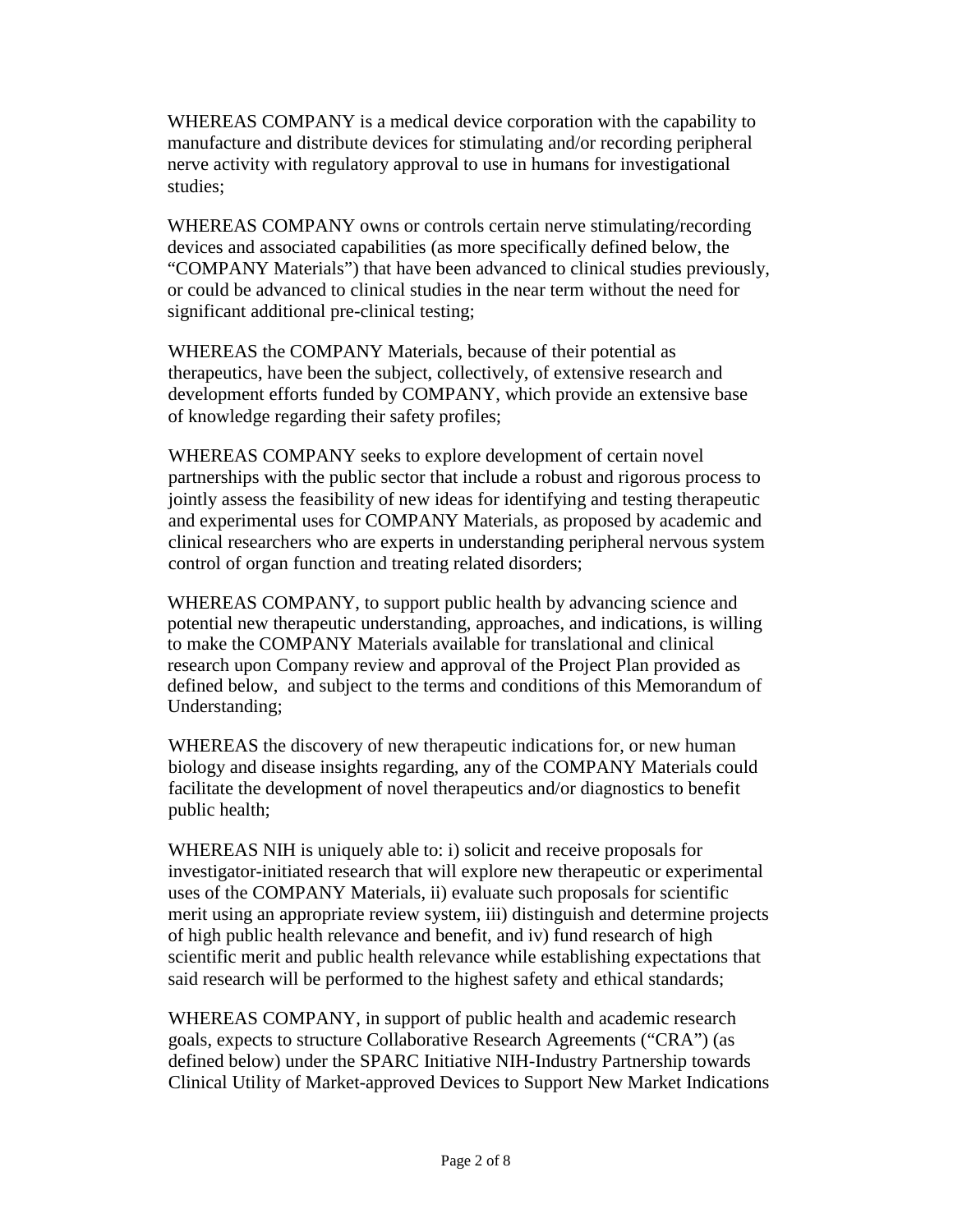WHEREAS COMPANY is a medical device corporation with the capability to manufacture and distribute devices for stimulating and/or recording peripheral nerve activity with regulatory approval to use in humans for investigational studies;

WHEREAS COMPANY owns or controls certain nerve stimulating/recording devices and associated capabilities (as more specifically defined below, the "COMPANY Materials") that have been advanced to clinical studies previously, or could be advanced to clinical studies in the near term without the need for significant additional pre-clinical testing;

WHEREAS the COMPANY Materials, because of their potential as therapeutics, have been the subject, collectively, of extensive research and development efforts funded by COMPANY, which provide an extensive base of knowledge regarding their safety profiles;

WHEREAS COMPANY seeks to explore development of certain novel partnerships with the public sector that include a robust and rigorous process to jointly assess the feasibility of new ideas for identifying and testing therapeutic and experimental uses for COMPANY Materials, as proposed by academic and clinical researchers who are experts in understanding peripheral nervous system control of organ function and treating related disorders;

WHEREAS COMPANY, to support public health by advancing science and potential new therapeutic understanding, approaches, and indications, is willing to make the COMPANY Materials available for translational and clinical research upon Company review and approval of the Project Plan provided as defined below, and subject to the terms and conditions of this Memorandum of Understanding;

WHEREAS the discovery of new therapeutic indications for, or new human biology and disease insights regarding, any of the COMPANY Materials could facilitate the development of novel therapeutics and/or diagnostics to benefit public health;

WHEREAS NIH is uniquely able to: i) solicit and receive proposals for investigator-initiated research that will explore new therapeutic or experimental uses of the COMPANY Materials, ii) evaluate such proposals for scientific merit using an appropriate review system, iii) distinguish and determine projects of high public health relevance and benefit, and iv) fund research of high scientific merit and public health relevance while establishing expectations that said research will be performed to the highest safety and ethical standards;

WHEREAS COMPANY, in support of public health and academic research goals, expects to structure Collaborative Research Agreements ("CRA") (as defined below) under the SPARC Initiative NIH-Industry Partnership towards Clinical Utility of Market-approved Devices to Support New Market Indications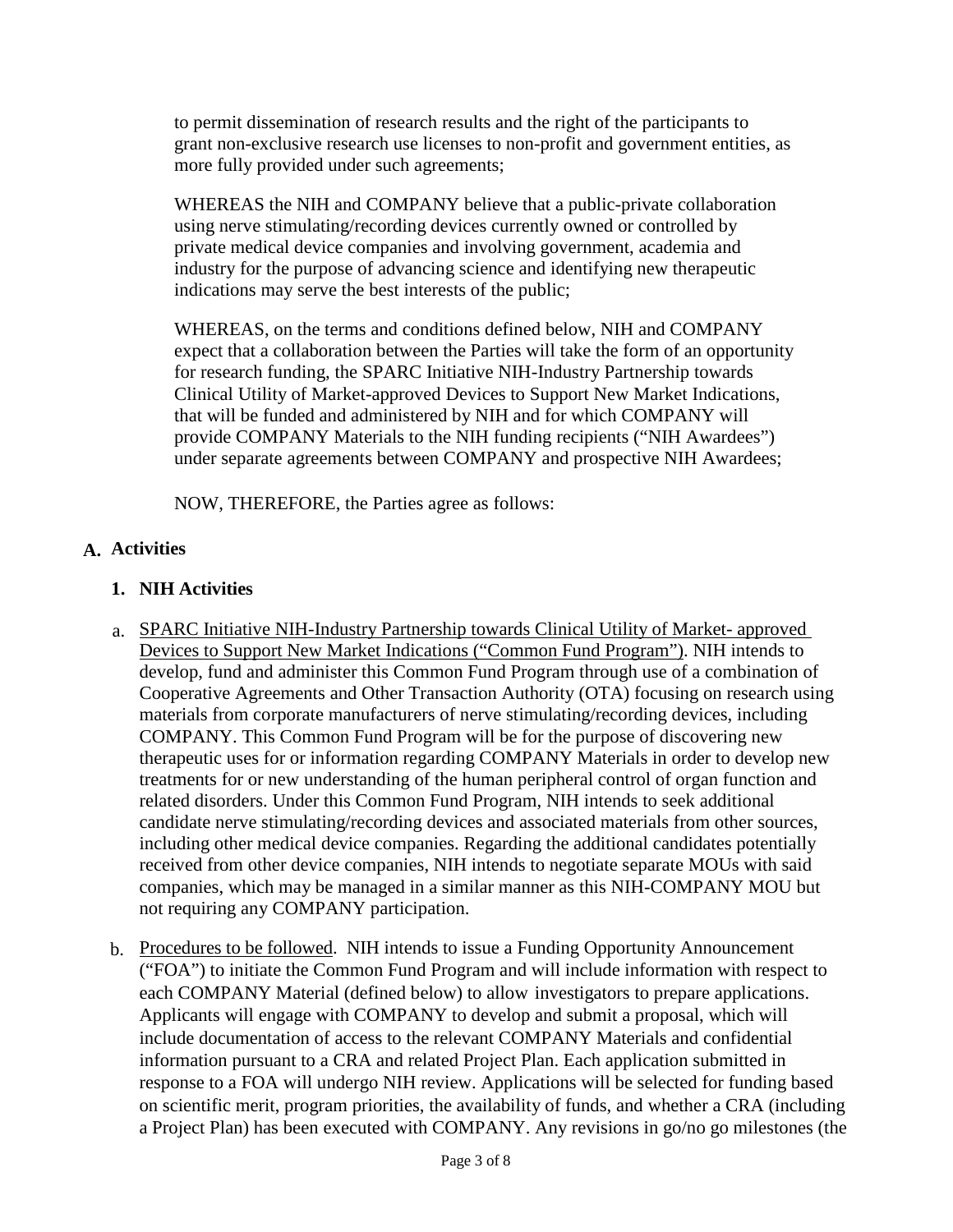to permit dissemination of research results and the right of the participants to grant non-exclusive research use licenses to non-profit and government entities, as more fully provided under such agreements;

WHEREAS the NIH and COMPANY believe that a public-private collaboration using nerve stimulating/recording devices currently owned or controlled by private medical device companies and involving government, academia and industry for the purpose of advancing science and identifying new therapeutic indications may serve the best interests of the public;

WHEREAS, on the terms and conditions defined below, NIH and COMPANY expect that a collaboration between the Parties will take the form of an opportunity for research funding, the SPARC Initiative NIH-Industry Partnership towards Clinical Utility of Market-approved Devices to Support New Market Indications, that will be funded and administered by NIH and for which COMPANY will provide COMPANY Materials to the NIH funding recipients ("NIH Awardees") under separate agreements between COMPANY and prospective NIH Awardees;

NOW, THEREFORE, the Parties agree as follows:

# **A. Activities**

### **1. NIH Activities**

- a. SPARC Initiative NIH-Industry Partnership towards Clinical Utility of Market- approved Devices to Support New Market Indications ("Common Fund Program"). NIH intends to develop, fund and administer this Common Fund Program through use of a combination of Cooperative Agreements and Other Transaction Authority (OTA) focusing on research using materials from corporate manufacturers of nerve stimulating/recording devices, including COMPANY. This Common Fund Program will be for the purpose of discovering new therapeutic uses for or information regarding COMPANY Materials in order to develop new treatments for or new understanding of the human peripheral control of organ function and related disorders. Under this Common Fund Program, NIH intends to seek additional candidate nerve stimulating/recording devices and associated materials from other sources, including other medical device companies. Regarding the additional candidates potentially received from other device companies, NIH intends to negotiate separate MOUs with said companies, which may be managed in a similar manner as this NIH-COMPANY MOU but not requiring any COMPANY participation.
- b. Procedures to be followed. NIH intends to issue a Funding Opportunity Announcement ("FOA") to initiate the Common Fund Program and will include information with respect to each COMPANY Material (defined below) to allow investigators to prepare applications. Applicants will engage with COMPANY to develop and submit a proposal, which will include documentation of access to the relevant COMPANY Materials and confidential information pursuant to a CRA and related Project Plan. Each application submitted in response to a FOA will undergo NIH review. Applications will be selected for funding based on scientific merit, program priorities, the availability of funds, and whether a CRA (including a Project Plan) has been executed with COMPANY. Any revisions in go/no go milestones (the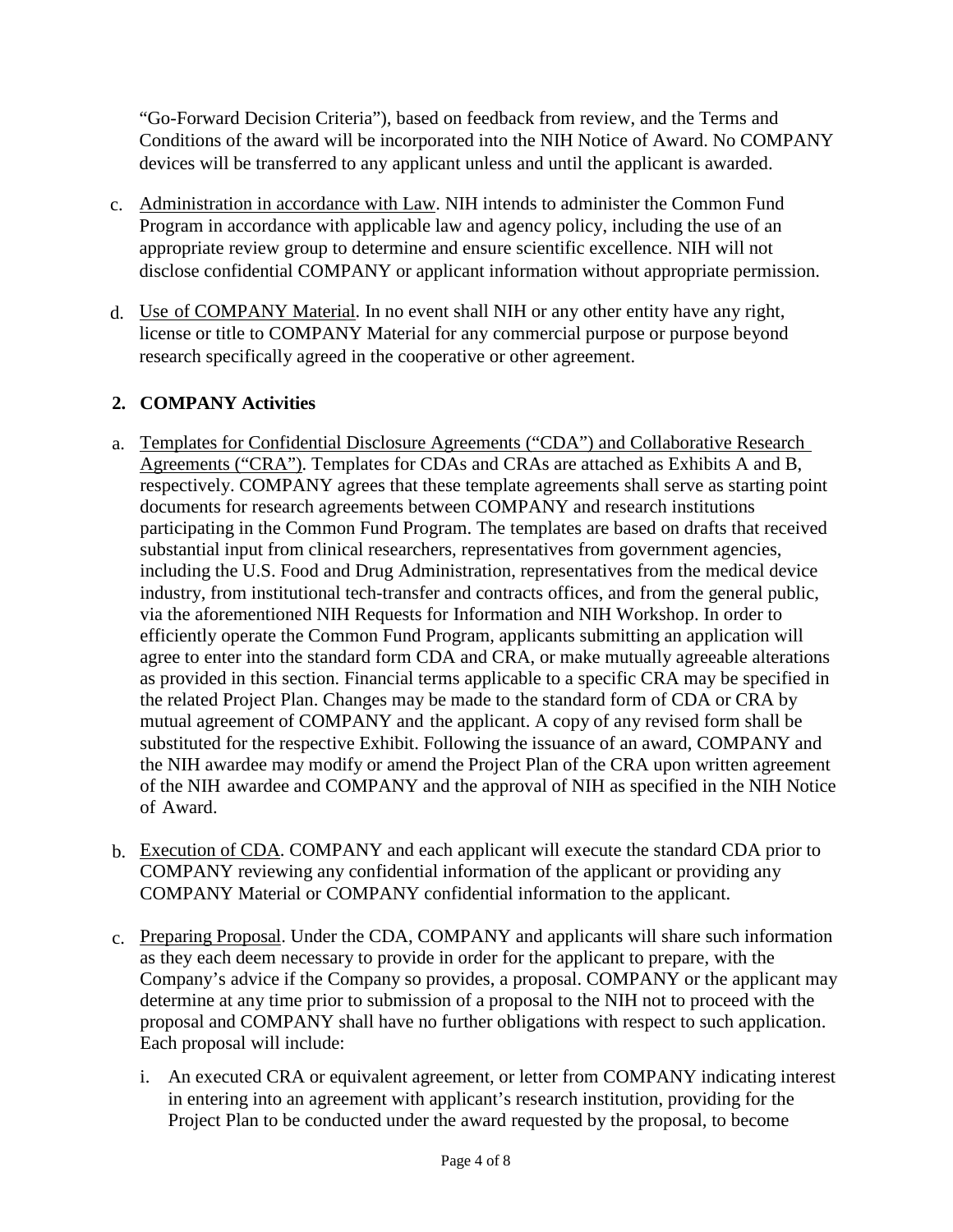"Go-Forward Decision Criteria"), based on feedback from review, and the Terms and Conditions of the award will be incorporated into the NIH Notice of Award. No COMPANY devices will be transferred to any applicant unless and until the applicant is awarded.

- c. Administration in accordance with Law. NIH intends to administer the Common Fund Program in accordance with applicable law and agency policy, including the use of an appropriate review group to determine and ensure scientific excellence. NIH will not disclose confidential COMPANY or applicant information without appropriate permission.
- d. Use of COMPANY Material. In no event shall NIH or any other entity have any right, license or title to COMPANY Material for any commercial purpose or purpose beyond research specifically agreed in the cooperative or other agreement.

# **2. COMPANY Activities**

- a. Templates for Confidential Disclosure Agreements ("CDA") and Collaborative Research Agreements ("CRA"). Templates for CDAs and CRAs are attached as Exhibits A and B, respectively. COMPANY agrees that these template agreements shall serve as starting point documents for research agreements between COMPANY and research institutions participating in the Common Fund Program. The templates are based on drafts that received substantial input from clinical researchers, representatives from government agencies, including the U.S. Food and Drug Administration, representatives from the medical device industry, from institutional tech-transfer and contracts offices, and from the general public, via the aforementioned NIH Requests for Information and NIH Workshop. In order to efficiently operate the Common Fund Program, applicants submitting an application will agree to enter into the standard form CDA and CRA, or make mutually agreeable alterations as provided in this section. Financial terms applicable to a specific CRA may be specified in the related Project Plan. Changes may be made to the standard form of CDA or CRA by mutual agreement of COMPANY and the applicant. A copy of any revised form shall be substituted for the respective Exhibit. Following the issuance of an award, COMPANY and the NIH awardee may modify or amend the Project Plan of the CRA upon written agreement of the NIH awardee and COMPANY and the approval of NIH as specified in the NIH Notice of Award.
- b. Execution of CDA. COMPANY and each applicant will execute the standard CDA prior to COMPANY reviewing any confidential information of the applicant or providing any COMPANY Material or COMPANY confidential information to the applicant.
- c. Preparing Proposal. Under the CDA, COMPANY and applicants will share such information as they each deem necessary to provide in order for the applicant to prepare, with the Company's advice if the Company so provides, a proposal. COMPANY or the applicant may determine at any time prior to submission of a proposal to the NIH not to proceed with the proposal and COMPANY shall have no further obligations with respect to such application. Each proposal will include:
	- i. An executed CRA or equivalent agreement, or letter from COMPANY indicating interest in entering into an agreement with applicant's research institution, providing for the Project Plan to be conducted under the award requested by the proposal, to become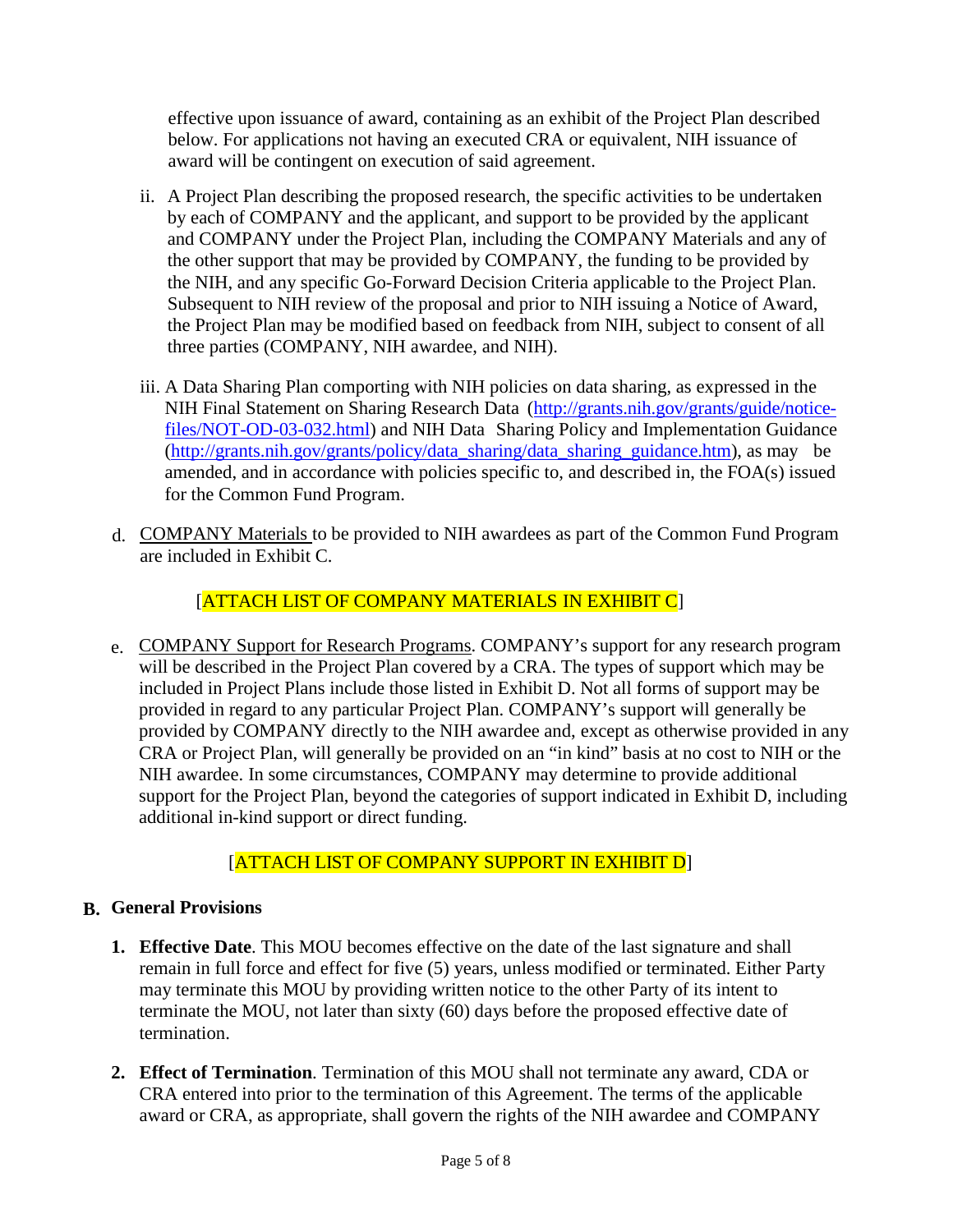effective upon issuance of award, containing as an exhibit of the Project Plan described below. For applications not having an executed CRA or equivalent, NIH issuance of award will be contingent on execution of said agreement.

- ii. A Project Plan describing the proposed research, the specific activities to be undertaken by each of COMPANY and the applicant, and support to be provided by the applicant and COMPANY under the Project Plan, including the COMPANY Materials and any of the other support that may be provided by COMPANY, the funding to be provided by the NIH, and any specific Go-Forward Decision Criteria applicable to the Project Plan. Subsequent to NIH review of the proposal and prior to NIH issuing a Notice of Award, the Project Plan may be modified based on feedback from NIH, subject to consent of all three parties (COMPANY, NIH awardee, and NIH).
- iii. A Data Sharing Plan comporting with NIH policies on data sharing, as expressed in the NIH Final Statement on Sharing Research Data [\(http://grants.nih.gov/grants/guide/notice](http://grants.nih.gov/grants/guide/notice-files/NOT-OD-03-032.html)[files/NOT-OD-03-032.html\)](http://grants.nih.gov/grants/guide/notice-files/NOT-OD-03-032.html) and NIH Data Sharing Policy and Implementation Guidance [\(http://grants.nih.gov/grants/policy/data\\_sharing/data\\_sharing\\_guidance.htm\)](http://grants.nih.gov/grants/policy/data_sharing/data_sharing_guidance.htm), as may be amended, and in accordance with policies specific to, and described in, the FOA(s) issued for the Common Fund Program.
- d. COMPANY Materials to be provided to NIH awardees as part of the Common Fund Program are included in Exhibit C.

[ATTACH LIST OF COMPANY MATERIALS IN EXHIBIT C]

e. COMPANY Support for Research Programs. COMPANY's support for any research program will be described in the Project Plan covered by a CRA. The types of support which may be included in Project Plans include those listed in Exhibit D. Not all forms of support may be provided in regard to any particular Project Plan. COMPANY's support will generally be provided by COMPANY directly to the NIH awardee and, except as otherwise provided in any CRA or Project Plan, will generally be provided on an "in kind" basis at no cost to NIH or the NIH awardee. In some circumstances, COMPANY may determine to provide additional support for the Project Plan, beyond the categories of support indicated in Exhibit D, including additional in-kind support or direct funding.

# [ATTACH LIST OF COMPANY SUPPORT IN EXHIBIT D]

# **B. General Provisions**

- **1. Effective Date**. This MOU becomes effective on the date of the last signature and shall remain in full force and effect for five (5) years, unless modified or terminated. Either Party may terminate this MOU by providing written notice to the other Party of its intent to terminate the MOU, not later than sixty (60) days before the proposed effective date of termination.
- **2. Effect of Termination**. Termination of this MOU shall not terminate any award, CDA or CRA entered into prior to the termination of this Agreement. The terms of the applicable award or CRA, as appropriate, shall govern the rights of the NIH awardee and COMPANY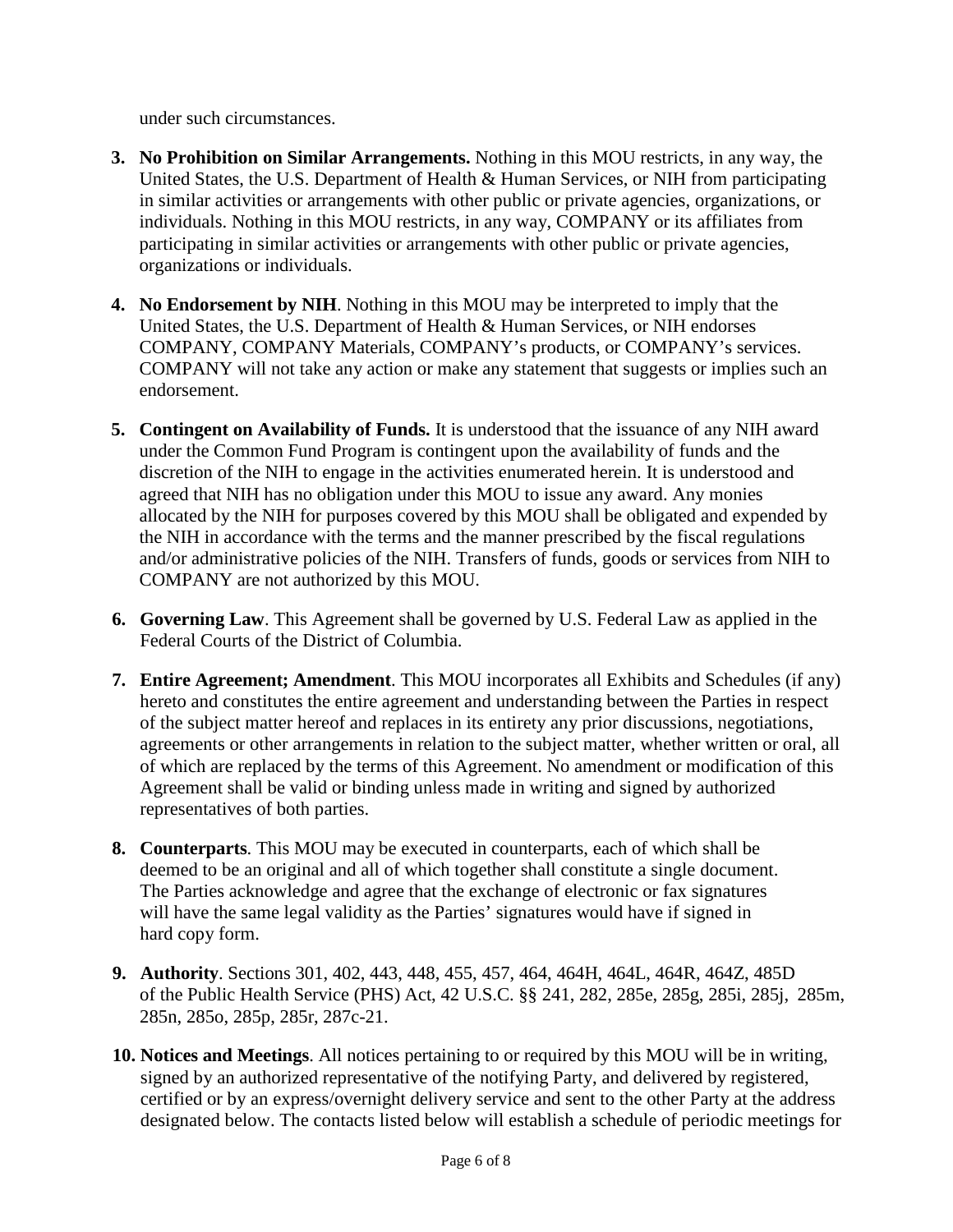under such circumstances.

- **3. No Prohibition on Similar Arrangements.** Nothing in this MOU restricts, in any way, the United States, the U.S. Department of Health & Human Services, or NIH from participating in similar activities or arrangements with other public or private agencies, organizations, or individuals. Nothing in this MOU restricts, in any way, COMPANY or its affiliates from participating in similar activities or arrangements with other public or private agencies, organizations or individuals.
- **4. No Endorsement by NIH**. Nothing in this MOU may be interpreted to imply that the United States, the U.S. Department of Health & Human Services, or NIH endorses COMPANY, COMPANY Materials, COMPANY's products, or COMPANY's services. COMPANY will not take any action or make any statement that suggests or implies such an endorsement.
- **5. Contingent on Availability of Funds.** It is understood that the issuance of any NIH award under the Common Fund Program is contingent upon the availability of funds and the discretion of the NIH to engage in the activities enumerated herein. It is understood and agreed that NIH has no obligation under this MOU to issue any award. Any monies allocated by the NIH for purposes covered by this MOU shall be obligated and expended by the NIH in accordance with the terms and the manner prescribed by the fiscal regulations and/or administrative policies of the NIH. Transfers of funds, goods or services from NIH to COMPANY are not authorized by this MOU.
- **6. Governing Law**. This Agreement shall be governed by U.S. Federal Law as applied in the Federal Courts of the District of Columbia.
- **7. Entire Agreement; Amendment**. This MOU incorporates all Exhibits and Schedules (if any) hereto and constitutes the entire agreement and understanding between the Parties in respect of the subject matter hereof and replaces in its entirety any prior discussions, negotiations, agreements or other arrangements in relation to the subject matter, whether written or oral, all of which are replaced by the terms of this Agreement. No amendment or modification of this Agreement shall be valid or binding unless made in writing and signed by authorized representatives of both parties.
- **8. Counterparts**. This MOU may be executed in counterparts, each of which shall be deemed to be an original and all of which together shall constitute a single document. The Parties acknowledge and agree that the exchange of electronic or fax signatures will have the same legal validity as the Parties' signatures would have if signed in hard copy form.
- **9. Authority**. Sections 301, 402, 443, 448, 455, 457, 464, 464H, 464L, 464R, 464Z, 485D of the Public Health Service (PHS) Act, 42 U.S.C. §§ 241, 282, 285e, 285g, 285i, 285j, 285m, 285n, 285o, 285p, 285r, 287c-21.
- **10. Notices and Meetings**. All notices pertaining to or required by this MOU will be in writing, signed by an authorized representative of the notifying Party, and delivered by registered, certified or by an express/overnight delivery service and sent to the other Party at the address designated below. The contacts listed below will establish a schedule of periodic meetings for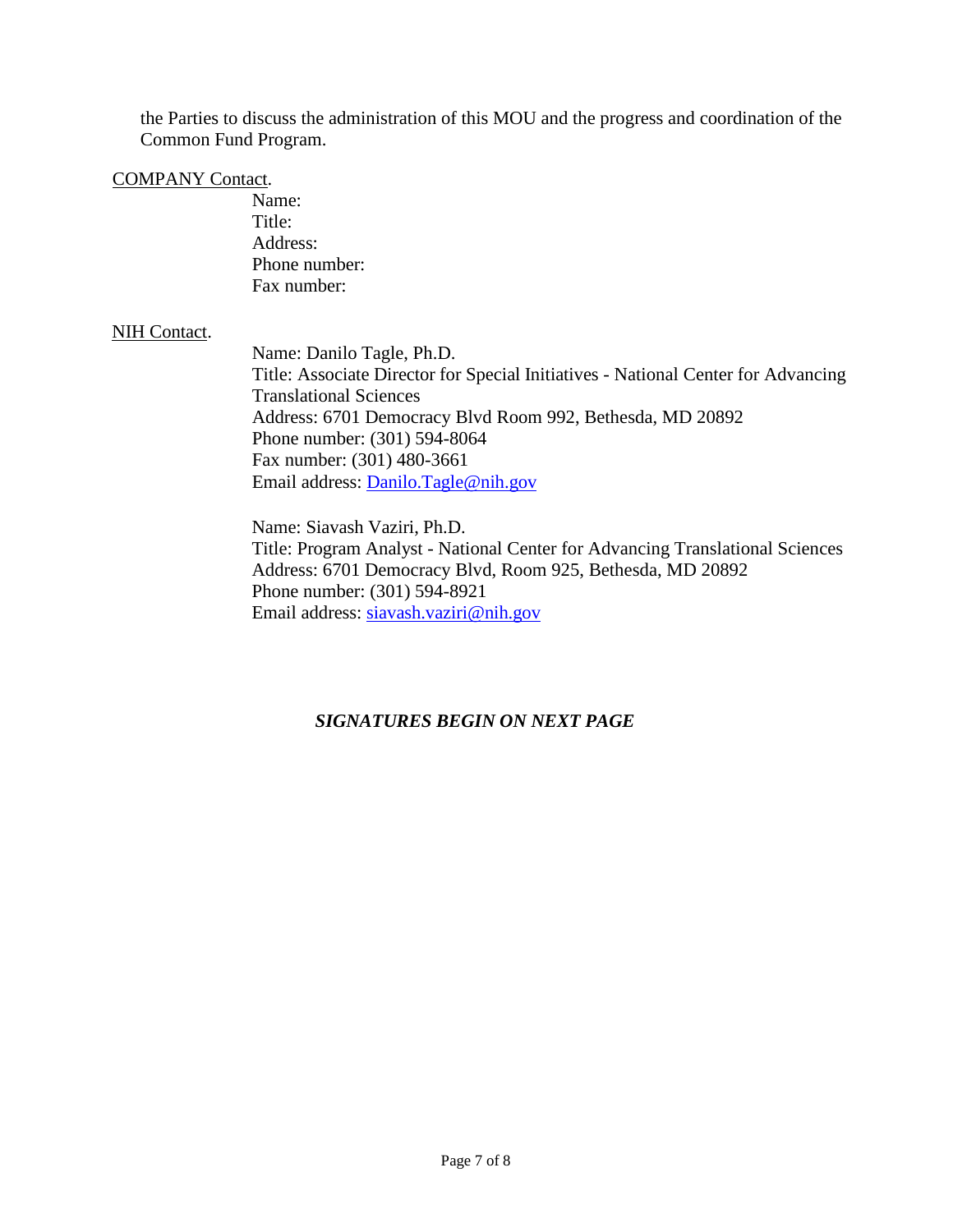the Parties to discuss the administration of this MOU and the progress and coordination of the Common Fund Program.

#### COMPANY Contact.

Name: Title: Address: Phone number: Fax number:

#### NIH Contact.

Name: Danilo Tagle, Ph.D. Title: Associate Director for Special Initiatives - National Center for Advancing Translational Sciences Address: 6701 Democracy Blvd Room 992, Bethesda, MD 20892 Phone number: (301) 594-8064 Fax number: (301) 480-3661 Email address: [Danilo.Tagle@nih.gov](mailto:Edmund.Talley@nih.gov)

Name: Siavash Vaziri, Ph.D. Title: Program Analyst - National Center for Advancing Translational Sciences Address: 6701 Democracy Blvd, Room 925, Bethesda, MD 20892 Phone number: (301) 594-8921 Email address: [siavash.vaziri@nih.gov](mailto:siavash.vaziri@nih.gov)

#### *SIGNATURES BEGIN ON NEXT PAGE*